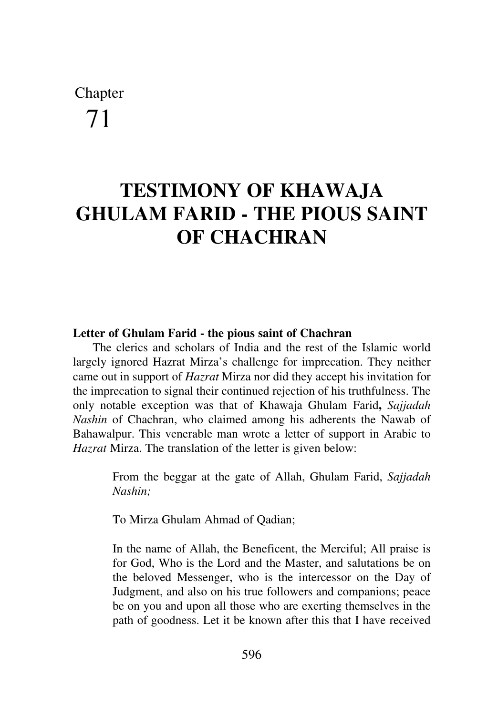# Chapter 71

## **TESTIMONY OF KHAWAJA GHULAM FARID - THE PIOUS SAINT OF CHACHRAN**

#### **Letter of Ghulam Farid - the pious saint of Chachran**

The clerics and scholars of India and the rest of the Islamic world largely ignored Hazrat Mirza's challenge for imprecation. They neither came out in support of *Hazrat* Mirza nor did they accept his invitation for the imprecation to signal their continued rejection of his truthfulness. The only notable exception was that of Khawaja Ghulam Farid**,** *Sajjadah Nashin* of Chachran, who claimed among his adherents the Nawab of Bahawalpur. This venerable man wrote a letter of support in Arabic to *Hazrat* Mirza. The translation of the letter is given below:

> From the beggar at the gate of Allah, Ghulam Farid, *Sajjadah Nashin;*

To Mirza Ghulam Ahmad of Qadian;

In the name of Allah, the Beneficent, the Merciful; All praise is for God, Who is the Lord and the Master, and salutations be on the beloved Messenger, who is the intercessor on the Day of Judgment, and also on his true followers and companions; peace be on you and upon all those who are exerting themselves in the path of goodness. Let it be known after this that I have received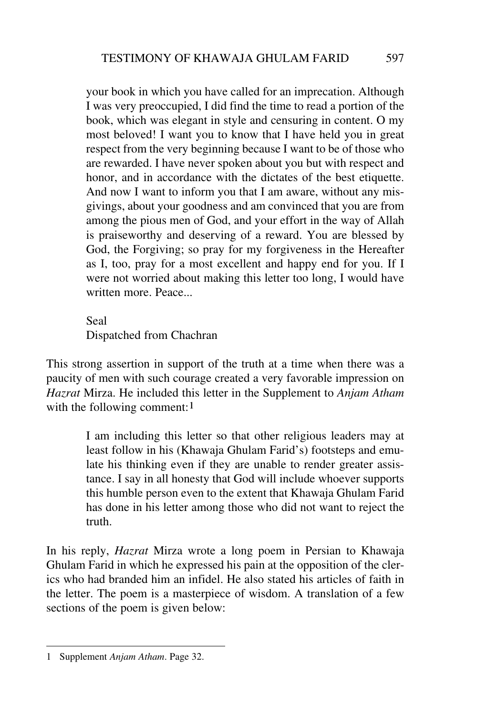your book in which you have called for an imprecation. Although I was very preoccupied, I did find the time to read a portion of the book, which was elegant in style and censuring in content. O my most beloved! I want you to know that I have held you in great respect from the very beginning because I want to be of those who are rewarded. I have never spoken about you but with respect and honor, and in accordance with the dictates of the best etiquette. And now I want to inform you that I am aware, without any misgivings, about your goodness and am convinced that you are from among the pious men of God, and your effort in the way of Allah is praiseworthy and deserving of a reward. You are blessed by God, the Forgiving; so pray for my forgiveness in the Hereafter as I, too, pray for a most excellent and happy end for you. If I were not worried about making this letter too long, I would have written more. Peace...

Seal

Dispatched from Chachran

This strong assertion in support of the truth at a time when there was a paucity of men with such courage created a very favorable impression on *Hazrat* Mirza. He included this letter in the Supplement to *Anjam Atham* with the following comment:<sup>1</sup>

> I am including this letter so that other religious leaders may at least follow in his (Khawaja Ghulam Farid's) footsteps and emulate his thinking even if they are unable to render greater assistance. I say in all honesty that God will include whoever supports this humble person even to the extent that Khawaja Ghulam Farid has done in his letter among those who did not want to reject the truth.

In his reply, *Hazrat* Mirza wrote a long poem in Persian to Khawaja Ghulam Farid in which he expressed his pain at the opposition of the clerics who had branded him an infidel. He also stated his articles of faith in the letter. The poem is a masterpiece of wisdom. A translation of a few sections of the poem is given below:

<sup>1</sup> Supplement *Anjam Atham*. Page 32.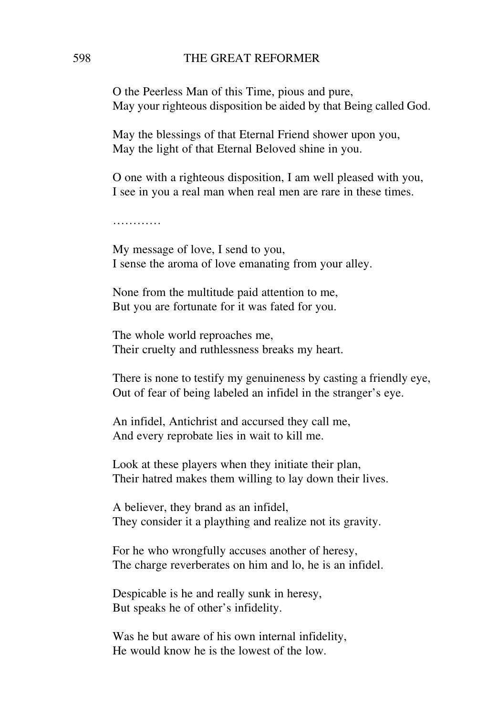O the Peerless Man of this Time, pious and pure, May your righteous disposition be aided by that Being called God.

May the blessings of that Eternal Friend shower upon you, May the light of that Eternal Beloved shine in you.

O one with a righteous disposition, I am well pleased with you, I see in you a real man when real men are rare in these times.

…………

My message of love, I send to you, I sense the aroma of love emanating from your alley.

None from the multitude paid attention to me, But you are fortunate for it was fated for you.

The whole world reproaches me, Their cruelty and ruthlessness breaks my heart.

There is none to testify my genuineness by casting a friendly eye, Out of fear of being labeled an infidel in the stranger's eye.

An infidel, Antichrist and accursed they call me, And every reprobate lies in wait to kill me.

Look at these players when they initiate their plan, Their hatred makes them willing to lay down their lives.

A believer, they brand as an infidel, They consider it a plaything and realize not its gravity.

For he who wrongfully accuses another of heresy, The charge reverberates on him and lo, he is an infidel.

Despicable is he and really sunk in heresy, But speaks he of other's infidelity.

Was he but aware of his own internal infidelity, He would know he is the lowest of the low.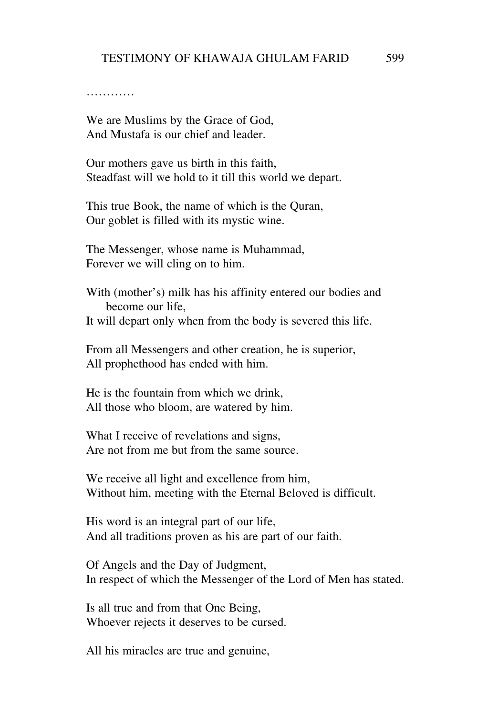. . . . . . . . . . .

We are Muslims by the Grace of God, And Mustafa is our chief and leader.

Our mothers gave us birth in this faith, Steadfast will we hold to it till this world we depart.

This true Book, the name of which is the Quran, Our goblet is filled with its mystic wine.

The Messenger, whose name is Muhammad, Forever we will cling on to him.

With (mother's) milk has his affinity entered our bodies and become our life, It will depart only when from the body is severed this life.

From all Messengers and other creation, he is superior, All prophethood has ended with him.

He is the fountain from which we drink, All those who bloom, are watered by him.

What I receive of revelations and signs, Are not from me but from the same source.

We receive all light and excellence from him, Without him, meeting with the Eternal Beloved is difficult.

His word is an integral part of our life, And all traditions proven as his are part of our faith.

Of Angels and the Day of Judgment, In respect of which the Messenger of the Lord of Men has stated.

Is all true and from that One Being, Whoever rejects it deserves to be cursed.

All his miracles are true and genuine,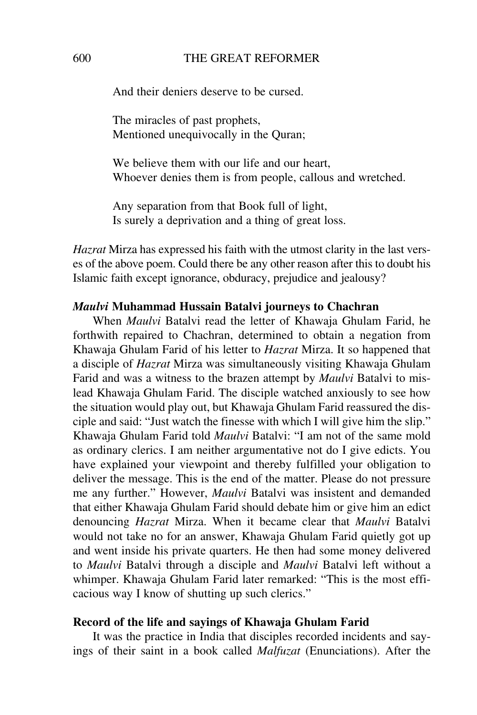#### 600 THE GREAT REFORMER

And their deniers deserve to be cursed.

The miracles of past prophets, Mentioned unequivocally in the Quran;

We believe them with our life and our heart, Whoever denies them is from people, callous and wretched.

Any separation from that Book full of light, Is surely a deprivation and a thing of great loss.

*Hazrat* Mirza has expressed his faith with the utmost clarity in the last verses of the above poem. Could there be any other reason after this to doubt his Islamic faith except ignorance, obduracy, prejudice and jealousy?

#### *Maulvi* **Muhammad Hussain Batalvi journeys to Chachran**

When *Maulvi* Batalvi read the letter of Khawaja Ghulam Farid, he forthwith repaired to Chachran, determined to obtain a negation from Khawaja Ghulam Farid of his letter to *Hazrat* Mirza. It so happened that a disciple of *Hazrat* Mirza was simultaneously visiting Khawaja Ghulam Farid and was a witness to the brazen attempt by *Maulvi* Batalvi to mislead Khawaja Ghulam Farid. The disciple watched anxiously to see how the situation would play out, but Khawaja Ghulam Farid reassured the disciple and said: "Just watch the finesse with which I will give him the slip." Khawaja Ghulam Farid told *Maulvi* Batalvi: "I am not of the same mold as ordinary clerics. I am neither argumentative not do I give edicts. You have explained your viewpoint and thereby fulfilled your obligation to deliver the message. This is the end of the matter. Please do not pressure me any further." However, *Maulvi* Batalvi was insistent and demanded that either Khawaja Ghulam Farid should debate him or give him an edict denouncing *Hazrat* Mirza. When it became clear that *Maulvi* Batalvi would not take no for an answer, Khawaja Ghulam Farid quietly got up and went inside his private quarters. He then had some money delivered to *Maulvi* Batalvi through a disciple and *Maulvi* Batalvi left without a whimper. Khawaja Ghulam Farid later remarked: "This is the most efficacious way I know of shutting up such clerics."

#### **Record of the life and sayings of Khawaja Ghulam Farid**

It was the practice in India that disciples recorded incidents and sayings of their saint in a book called *Malfuzat* (Enunciations). After the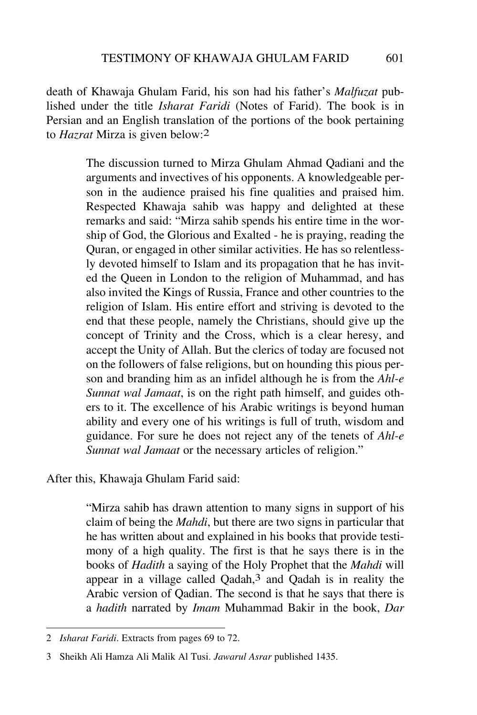death of Khawaja Ghulam Farid, his son had his father's *Malfuzat* published under the title *Isharat Faridi* (Notes of Farid). The book is in Persian and an English translation of the portions of the book pertaining to *Hazrat* Mirza is given below:2

> The discussion turned to Mirza Ghulam Ahmad Qadiani and the arguments and invectives of his opponents. A knowledgeable person in the audience praised his fine qualities and praised him. Respected Khawaja sahib was happy and delighted at these remarks and said: "Mirza sahib spends his entire time in the worship of God, the Glorious and Exalted - he is praying, reading the Quran, or engaged in other similar activities. He has so relentlessly devoted himself to Islam and its propagation that he has invited the Queen in London to the religion of Muhammad, and has also invited the Kings of Russia, France and other countries to the religion of Islam. His entire effort and striving is devoted to the end that these people, namely the Christians, should give up the concept of Trinity and the Cross, which is a clear heresy, and accept the Unity of Allah. But the clerics of today are focused not on the followers of false religions, but on hounding this pious person and branding him as an infidel although he is from the *Ahl-e Sunnat wal Jamaat*, is on the right path himself, and guides others to it. The excellence of his Arabic writings is beyond human ability and every one of his writings is full of truth, wisdom and guidance. For sure he does not reject any of the tenets of *Ahl-e Sunnat wal Jamaat* or the necessary articles of religion."

After this, Khawaja Ghulam Farid said:

"Mirza sahib has drawn attention to many signs in support of his claim of being the *Mahdi*, but there are two signs in particular that he has written about and explained in his books that provide testimony of a high quality. The first is that he says there is in the books of *Hadith* a saying of the Holy Prophet that the *Mahdi* will appear in a village called Qadah,3 and Qadah is in reality the Arabic version of Qadian. The second is that he says that there is a *hadith* narrated by *Imam* Muhammad Bakir in the book, *Dar*

<sup>2</sup> *Isharat Faridi*. Extracts from pages 69 to 72.

<sup>3</sup> Sheikh Ali Hamza Ali Malik Al Tusi. *Jawarul Asrar* published 1435.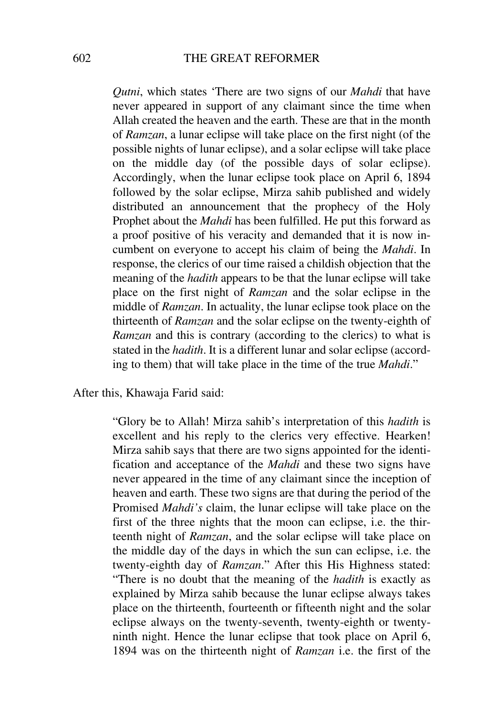*Qutni*, which states 'There are two signs of our *Mahdi* that have never appeared in support of any claimant since the time when Allah created the heaven and the earth. These are that in the month of *Ramzan*, a lunar eclipse will take place on the first night (of the possible nights of lunar eclipse), and a solar eclipse will take place on the middle day (of the possible days of solar eclipse). Accordingly, when the lunar eclipse took place on April 6, 1894 followed by the solar eclipse, Mirza sahib published and widely distributed an announcement that the prophecy of the Holy Prophet about the *Mahdi* has been fulfilled. He put this forward as a proof positive of his veracity and demanded that it is now incumbent on everyone to accept his claim of being the *Mahdi*. In response, the clerics of our time raised a childish objection that the meaning of the *hadith* appears to be that the lunar eclipse will take place on the first night of *Ramzan* and the solar eclipse in the middle of *Ramzan*. In actuality, the lunar eclipse took place on the thirteenth of *Ramzan* and the solar eclipse on the twenty-eighth of *Ramzan* and this is contrary (according to the clerics) to what is stated in the *hadith*. It is a different lunar and solar eclipse (according to them) that will take place in the time of the true *Mahdi*."

After this, Khawaja Farid said:

"Glory be to Allah! Mirza sahib's interpretation of this *hadith* is excellent and his reply to the clerics very effective. Hearken! Mirza sahib says that there are two signs appointed for the identification and acceptance of the *Mahdi* and these two signs have never appeared in the time of any claimant since the inception of heaven and earth. These two signs are that during the period of the Promised *Mahdi's* claim, the lunar eclipse will take place on the first of the three nights that the moon can eclipse, i.e. the thirteenth night of *Ramzan*, and the solar eclipse will take place on the middle day of the days in which the sun can eclipse, i.e. the twenty-eighth day of *Ramzan*." After this His Highness stated: "There is no doubt that the meaning of the *hadith* is exactly as explained by Mirza sahib because the lunar eclipse always takes place on the thirteenth, fourteenth or fifteenth night and the solar eclipse always on the twenty-seventh, twenty-eighth or twentyninth night. Hence the lunar eclipse that took place on April 6, 1894 was on the thirteenth night of *Ramzan* i.e. the first of the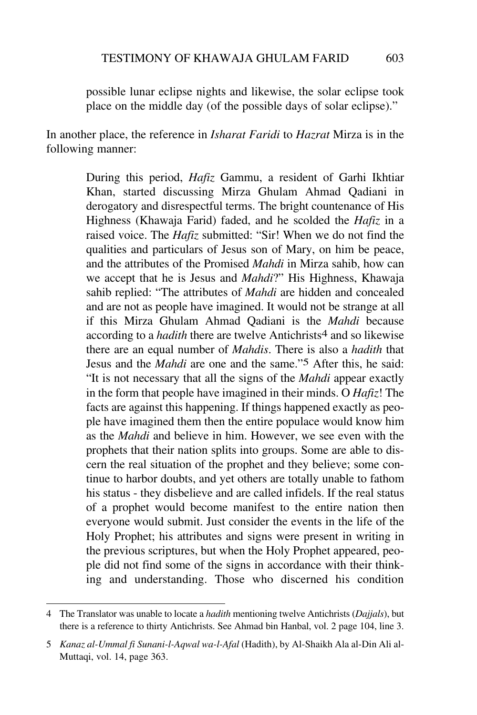possible lunar eclipse nights and likewise, the solar eclipse took place on the middle day (of the possible days of solar eclipse)."

In another place, the reference in *Isharat Faridi* to *Hazrat* Mirza is in the following manner:

> During this period, *Hafiz* Gammu, a resident of Garhi Ikhtiar Khan, started discussing Mirza Ghulam Ahmad Qadiani in derogatory and disrespectful terms. The bright countenance of His Highness (Khawaja Farid) faded, and he scolded the *Hafiz* in a raised voice. The *Hafiz* submitted: "Sir! When we do not find the qualities and particulars of Jesus son of Mary, on him be peace, and the attributes of the Promised *Mahdi* in Mirza sahib, how can we accept that he is Jesus and *Mahdi*?" His Highness, Khawaja sahib replied: "The attributes of *Mahdi* are hidden and concealed and are not as people have imagined. It would not be strange at all if this Mirza Ghulam Ahmad Qadiani is the *Mahdi* because according to a *hadith* there are twelve Antichrists<sup>4</sup> and so likewise there are an equal number of *Mahdis*. There is also a *hadith* that Jesus and the *Mahdi* are one and the same."5 After this, he said: "It is not necessary that all the signs of the *Mahdi* appear exactly in the form that people have imagined in their minds. O *Hafiz*! The facts are against this happening. If things happened exactly as people have imagined them then the entire populace would know him as the *Mahdi* and believe in him. However, we see even with the prophets that their nation splits into groups. Some are able to discern the real situation of the prophet and they believe; some continue to harbor doubts, and yet others are totally unable to fathom his status - they disbelieve and are called infidels. If the real status of a prophet would become manifest to the entire nation then everyone would submit. Just consider the events in the life of the Holy Prophet; his attributes and signs were present in writing in the previous scriptures, but when the Holy Prophet appeared, people did not find some of the signs in accordance with their thinking and understanding. Those who discerned his condition

<sup>4</sup> The Translator was unable to locate a *hadith* mentioning twelve Antichrists (*Dajjals*), but there is a reference to thirty Antichrists. See Ahmad bin Hanbal, vol. 2 page 104, line 3.

<sup>5</sup> *Kanaz al-Ummal fi Sunani-l-Aqwal wa-l-Afal* (Hadith), by Al-Shaikh Ala al-Din Ali al-Muttaqi, vol. 14, page 363.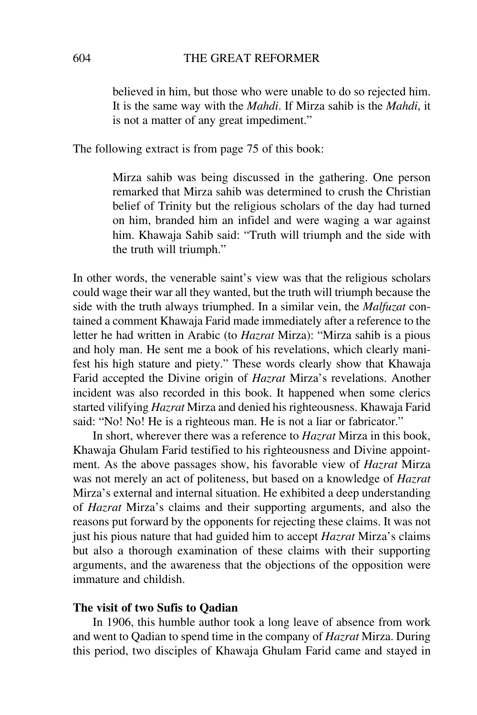believed in him, but those who were unable to do so rejected him. It is the same way with the *Mahdi*. If Mirza sahib is the *Mahdi*, it is not a matter of any great impediment."

The following extract is from page 75 of this book:

Mirza sahib was being discussed in the gathering. One person remarked that Mirza sahib was determined to crush the Christian belief of Trinity but the religious scholars of the day had turned on him, branded him an infidel and were waging a war against him. Khawaja Sahib said: "Truth will triumph and the side with the truth will triumph."

In other words, the venerable saint's view was that the religious scholars could wage their war all they wanted, but the truth will triumph because the side with the truth always triumphed. In a similar vein, the *Malfuzat* contained a comment Khawaja Farid made immediately after a reference to the letter he had written in Arabic (to *Hazrat* Mirza): "Mirza sahib is a pious and holy man. He sent me a book of his revelations, which clearly manifest his high stature and piety." These words clearly show that Khawaja Farid accepted the Divine origin of *Hazrat* Mirza's revelations. Another incident was also recorded in this book. It happened when some clerics started vilifying *Hazrat* Mirza and denied his righteousness. Khawaja Farid said: "No! No! He is a righteous man. He is not a liar or fabricator."

In short, wherever there was a reference to *Hazrat* Mirza in this book, Khawaja Ghulam Farid testified to his righteousness and Divine appointment. As the above passages show, his favorable view of *Hazrat* Mirza was not merely an act of politeness, but based on a knowledge of *Hazrat* Mirza's external and internal situation. He exhibited a deep understanding of *Hazrat* Mirza's claims and their supporting arguments, and also the reasons put forward by the opponents for rejecting these claims. It was not just his pious nature that had guided him to accept *Hazrat* Mirza's claims but also a thorough examination of these claims with their supporting arguments, and the awareness that the objections of the opposition were immature and childish.

### **The visit of two Sufis to Qadian**

In 1906, this humble author took a long leave of absence from work and went to Qadian to spend time in the company of *Hazrat* Mirza. During this period, two disciples of Khawaja Ghulam Farid came and stayed in